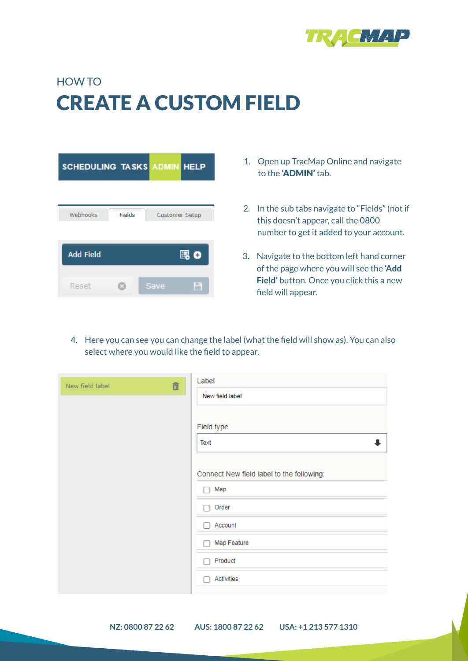

# HOW TO CREATE A CUSTOM FIELD

| <b>SCHEDULING TASKS ADMIN HELP</b> |               |                       |     |
|------------------------------------|---------------|-----------------------|-----|
|                                    |               |                       |     |
| Webhooks                           | <b>Fields</b> | <b>Customer Setup</b> |     |
| <b>Add Field</b>                   |               |                       | 喝 0 |
|                                    |               |                       |     |
| Reset                              |               | <b>Save</b>           |     |

- 1. Open up TracMap Online and navigate to the 'ADMIN' tab.
- 2. In the sub tabs navigate to "Fields" (not if this doesn't appear, call the 0800 number to get it added to your account.
- 3. Navigate to the bottom left hand corner of the page where you will see the **'Add Field'** button. Once you click this a new field will appear.
- 4. Here you can see you can change the label (what the field will show as). You can also select where you would like the field to appear.

| 面<br>New field label | Label                                     |
|----------------------|-------------------------------------------|
|                      | New field label                           |
|                      |                                           |
|                      | Field type                                |
|                      | Text                                      |
|                      |                                           |
|                      | Connect New field label to the following: |
|                      | Map                                       |
|                      | Order                                     |
|                      | Account                                   |
|                      | Map Feature                               |
|                      | Product                                   |
|                      | Activities                                |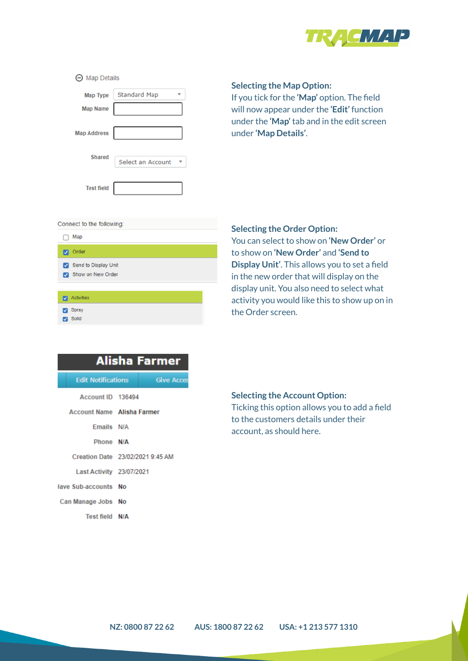

| <b>Map Details</b><br>$\overline{(-)}$ |                   |  |
|----------------------------------------|-------------------|--|
| <b>Map Type</b>                        | Standard Map      |  |
| <b>Map Name</b>                        |                   |  |
| <b>Map Address</b>                     |                   |  |
| Shared                                 | Select an Account |  |
| <b>Test field</b>                      |                   |  |

## **Selecting the Map Option:**

If you tick for the **'Map'** option. The field will now appear under the **'Edit'** function under the **'Map'** tab and in the edit screen under **'Map Details'**.

#### Connect to the following:

Solid

| Map                                       |
|-------------------------------------------|
| <b>v</b> Order                            |
| Send to Display Unit<br>Show on New Order |
|                                           |
| Activities                                |
| Sprav                                     |

## **Selecting the Order Option:**

You can select to show on **'New Order'** or to show on **'New Order'** and **'Send to Display Unit'**. This allows you to set a field in the new order that will display on the display unit. You also need to select what activity you would like this to show up on in the Order screen.

|                                   | <b>Alisha Farmer</b>             |
|-----------------------------------|----------------------------------|
| <b>Edit Notifications</b>         | <b>Give Acces</b>                |
|                                   |                                  |
| Account ID 136494                 |                                  |
| <b>Account Name Alisha Farmer</b> |                                  |
| Emails N/A                        |                                  |
| Phone N/A                         |                                  |
|                                   | Creation Date 23/02/2021 9:45 AM |
| Last Activity 23/07/2021          |                                  |
| lave Sub-accounts No              |                                  |
| Can Manage Jobs No                |                                  |
| Test field N/A                    |                                  |

## **Selecting the Account Option:**

Ticking this option allows you to add a field to the customers details under their account, as should here.